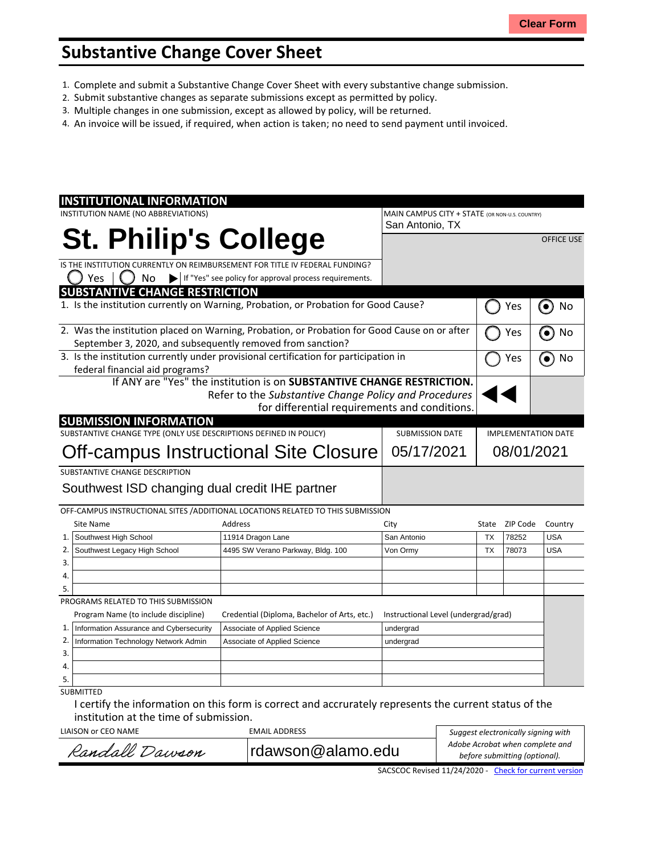## **Substantive Change Cover Sheet**

- 1. Complete and submit a Substantive Change Cover Sheet with every substantive change submission.
- 2. Submit substantive changes as separate submissions except as permitted by policy.
- 3. Multiple changes in one submission, except as allowed by policy, will be returned.
- 4. An invoice will be issued, if required, when action is taken; no need to send payment until invoiced.

|                                                                                                                                                            | <b>INSTITUTIONAL INFORMATION</b>                                                     |                                                                                  |                                      |            |          |                   |  |
|------------------------------------------------------------------------------------------------------------------------------------------------------------|--------------------------------------------------------------------------------------|----------------------------------------------------------------------------------|--------------------------------------|------------|----------|-------------------|--|
|                                                                                                                                                            | INSTITUTION NAME (NO ABBREVIATIONS)                                                  | MAIN CAMPUS CITY + STATE (OR NON-U.S. COUNTRY)                                   |                                      |            |          |                   |  |
|                                                                                                                                                            |                                                                                      |                                                                                  | San Antonio, TX                      |            |          |                   |  |
|                                                                                                                                                            | <b>St. Philip's College</b>                                                          |                                                                                  |                                      |            |          | <b>OFFICE USE</b> |  |
|                                                                                                                                                            |                                                                                      | IS THE INSTITUTION CURRENTLY ON REIMBURSEMENT FOR TITLE IV FEDERAL FUNDING?      |                                      |            |          |                   |  |
|                                                                                                                                                            | Yes<br>No<br>$\blacktriangleright$                                                   | If "Yes" see policy for approval process requirements.                           |                                      |            |          |                   |  |
|                                                                                                                                                            | <b>SUBSTANTIVE CHANGE RESTRICTION</b>                                                |                                                                                  |                                      |            |          |                   |  |
| 1. Is the institution currently on Warning, Probation, or Probation for Good Cause?                                                                        |                                                                                      |                                                                                  |                                      |            | Yes      | No<br>$\bullet$   |  |
| 2. Was the institution placed on Warning, Probation, or Probation for Good Cause on or after<br>September 3, 2020, and subsequently removed from sanction? |                                                                                      |                                                                                  |                                      |            | Yes      | No                |  |
|                                                                                                                                                            | 3. Is the institution currently under provisional certification for participation in |                                                                                  |                                      |            |          | No                |  |
| federal financial aid programs?                                                                                                                            |                                                                                      |                                                                                  |                                      |            | Yes      |                   |  |
| If ANY are "Yes" the institution is on SUBSTANTIVE CHANGE RESTRICTION.                                                                                     |                                                                                      |                                                                                  |                                      |            |          |                   |  |
| Refer to the Substantive Change Policy and Procedures                                                                                                      |                                                                                      |                                                                                  |                                      |            |          |                   |  |
| for differential requirements and conditions.                                                                                                              |                                                                                      |                                                                                  |                                      |            |          |                   |  |
| <b>SUBMISSION INFORMATION</b>                                                                                                                              |                                                                                      |                                                                                  |                                      |            |          |                   |  |
|                                                                                                                                                            | SUBSTANTIVE CHANGE TYPE (ONLY USE DESCRIPTIONS DEFINED IN POLICY)                    | <b>SUBMISSION DATE</b>                                                           | <b>IMPLEMENTATION DATE</b>           |            |          |                   |  |
| Off-campus Instructional Site Closure                                                                                                                      |                                                                                      |                                                                                  | 05/17/2021                           | 08/01/2021 |          |                   |  |
|                                                                                                                                                            | SUBSTANTIVE CHANGE DESCRIPTION                                                       |                                                                                  |                                      |            |          |                   |  |
| Southwest ISD changing dual credit IHE partner                                                                                                             |                                                                                      |                                                                                  |                                      |            |          |                   |  |
|                                                                                                                                                            |                                                                                      |                                                                                  |                                      |            |          |                   |  |
|                                                                                                                                                            |                                                                                      | OFF-CAMPUS INSTRUCTIONAL SITES / ADDITIONAL LOCATIONS RELATED TO THIS SUBMISSION |                                      |            |          |                   |  |
|                                                                                                                                                            | Site Name                                                                            | Address                                                                          | City                                 | State      | ZIP Code | Country           |  |
| 1.                                                                                                                                                         | Southwest High School                                                                | 11914 Dragon Lane                                                                | San Antonio                          | <b>TX</b>  | 78252    | <b>USA</b>        |  |
| 2.                                                                                                                                                         | Southwest Legacy High School                                                         | 4495 SW Verano Parkway, Bldg. 100                                                | Von Ormy                             | <b>TX</b>  | 78073    | <b>USA</b>        |  |
| 3.                                                                                                                                                         |                                                                                      |                                                                                  |                                      |            |          |                   |  |
| 4.                                                                                                                                                         |                                                                                      |                                                                                  |                                      |            |          |                   |  |
| 5.                                                                                                                                                         |                                                                                      |                                                                                  |                                      |            |          |                   |  |
|                                                                                                                                                            | PROGRAMS RELATED TO THIS SUBMISSION                                                  |                                                                                  |                                      |            |          |                   |  |
|                                                                                                                                                            | Program Name (to include discipline)                                                 | Credential (Diploma, Bachelor of Arts, etc.)                                     | Instructional Level (undergrad/grad) |            |          |                   |  |
| 1.<br>2.                                                                                                                                                   | Information Assurance and Cybersecurity                                              | Associate of Applied Science                                                     | undergrad                            |            |          |                   |  |
| 3.                                                                                                                                                         | Information Technology Network Admin                                                 | Associate of Applied Science                                                     | undergrad                            |            |          |                   |  |
| 4.                                                                                                                                                         |                                                                                      |                                                                                  |                                      |            |          |                   |  |
| 5.                                                                                                                                                         |                                                                                      |                                                                                  |                                      |            |          |                   |  |
|                                                                                                                                                            | <b>SUBMITTED</b>                                                                     |                                                                                  |                                      |            |          |                   |  |
|                                                                                                                                                            |                                                                                      |                                                                                  |                                      |            |          |                   |  |

I certify the information on this form is correct and accrurately represents the current status of the institution at the time of submission.

| LIAISON or CEO NAME | EMAIL ADDRESS     | Suggest electronically signing with                                                                             |  |  |
|---------------------|-------------------|-----------------------------------------------------------------------------------------------------------------|--|--|
| Randall Dawson      | rdawson@alamo.edu | Adobe Acrobat when complete and<br>before submitting (optional).                                                |  |  |
|                     |                   | the contract of the contract of the contract of the contract of the contract of the contract of the contract of |  |  |

SACSCOC Revised 11/24/2020 - Check for [current](http://sacscoc.org/app/uploads/2020/01/Substantive_Change_Cover_-Sheet.pdf) version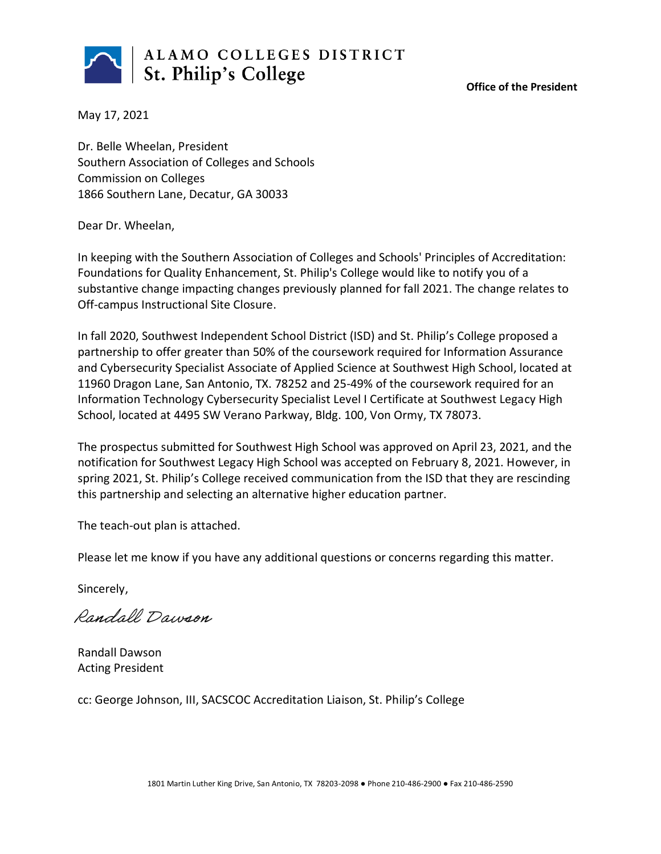

**Office of the President**

May 17, 2021

Dr. Belle Wheelan, President Southern Association of Colleges and Schools Commission on Colleges 1866 Southern Lane, Decatur, GA 30033

Dear Dr. Wheelan,

In keeping with the Southern Association of Colleges and Schools' Principles of Accreditation: Foundations for Quality Enhancement, St. Philip's College would like to notify you of a substantive change impacting changes previously planned for fall 2021. The change relates to Off-campus Instructional Site Closure.

In fall 2020, Southwest Independent School District (ISD) and St. Philip's College proposed a partnership to offer greater than 50% of the coursework required for Information Assurance and Cybersecurity Specialist Associate of Applied Science at Southwest High School, located at 11960 Dragon Lane, San Antonio, TX. 78252 and 25-49% of the coursework required for an Information Technology Cybersecurity Specialist Level I Certificate at Southwest Legacy High School, located at 4495 SW Verano Parkway, Bldg. 100, Von Ormy, TX 78073.

The prospectus submitted for Southwest High School was approved on April 23, 2021, and the notification for Southwest Legacy High School was accepted on February 8, 2021. However, in spring 2021, St. Philip's College received communication from the ISD that they are rescinding this partnership and selecting an alternative higher education partner.

The teach-out plan is attached.

Please let me know if you have any additional questions or concerns regarding this matter.

Sincerely,

Randall Dawson

Randall Dawson Acting President

cc: George Johnson, III, SACSCOC Accreditation Liaison, St. Philip's College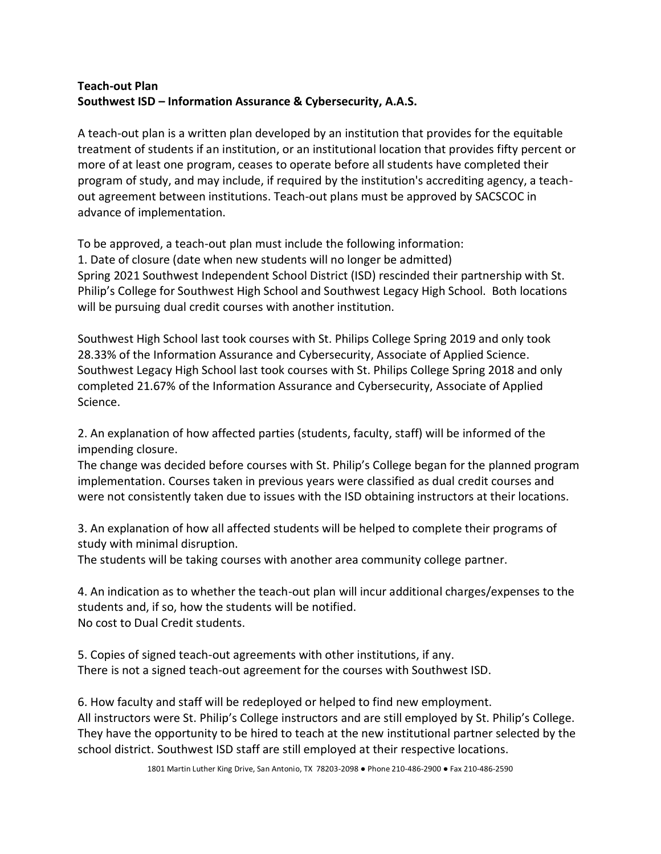## **Teach-out Plan Southwest ISD – Information Assurance & Cybersecurity, A.A.S.**

A teach-out plan is a written plan developed by an institution that provides for the equitable treatment of students if an institution, or an institutional location that provides fifty percent or more of at least one program, ceases to operate before all students have completed their program of study, and may include, if required by the institution's accrediting agency, a teachout agreement between institutions. Teach-out plans must be approved by SACSCOC in advance of implementation.

To be approved, a teach-out plan must include the following information:

1. Date of closure (date when new students will no longer be admitted) Spring 2021 Southwest Independent School District (ISD) rescinded their partnership with St. Philip's College for Southwest High School and Southwest Legacy High School. Both locations will be pursuing dual credit courses with another institution.

Southwest High School last took courses with St. Philips College Spring 2019 and only took 28.33% of the Information Assurance and Cybersecurity, Associate of Applied Science. Southwest Legacy High School last took courses with St. Philips College Spring 2018 and only completed 21.67% of the Information Assurance and Cybersecurity, Associate of Applied Science.

2. An explanation of how affected parties (students, faculty, staff) will be informed of the impending closure.

The change was decided before courses with St. Philip's College began for the planned program implementation. Courses taken in previous years were classified as dual credit courses and were not consistently taken due to issues with the ISD obtaining instructors at their locations.

3. An explanation of how all affected students will be helped to complete their programs of study with minimal disruption.

The students will be taking courses with another area community college partner.

4. An indication as to whether the teach-out plan will incur additional charges/expenses to the students and, if so, how the students will be notified. No cost to Dual Credit students.

5. Copies of signed teach-out agreements with other institutions, if any. There is not a signed teach-out agreement for the courses with Southwest ISD.

6. How faculty and staff will be redeployed or helped to find new employment. All instructors were St. Philip's College instructors and are still employed by St. Philip's College. They have the opportunity to be hired to teach at the new institutional partner selected by the school district. Southwest ISD staff are still employed at their respective locations.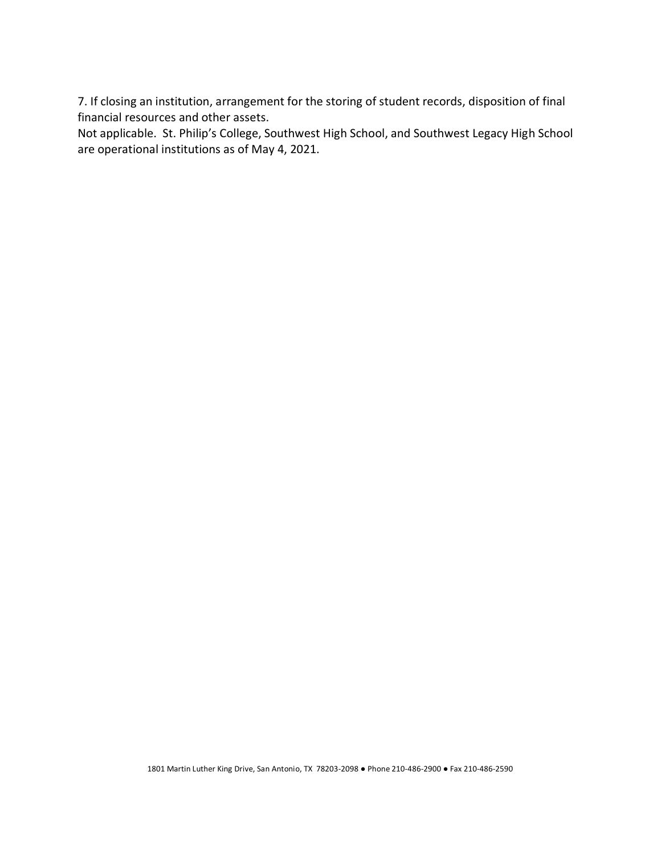7. If closing an institution, arrangement for the storing of student records, disposition of final financial resources and other assets.

Not applicable. St. Philip's College, Southwest High School, and Southwest Legacy High School are operational institutions as of May 4, 2021.